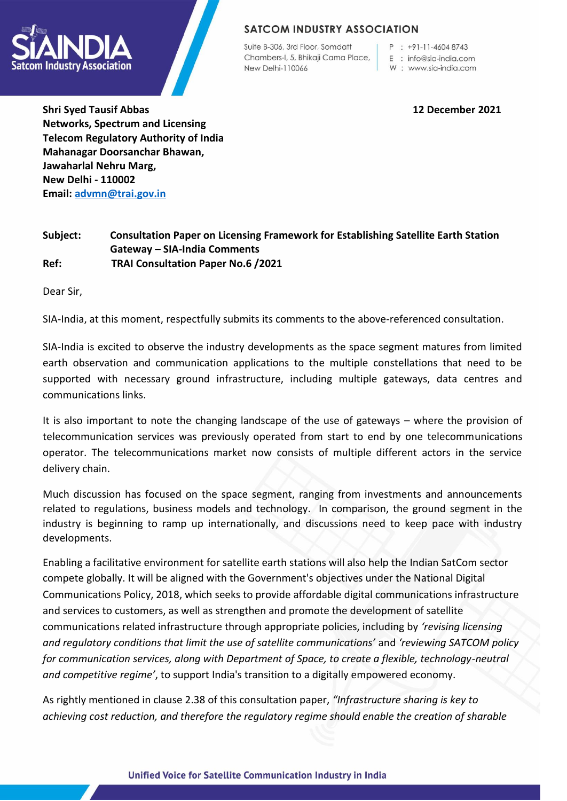

# **SATCOM INDUSTRY ASSOCIATION**

Suite B-306, 3rd Floor, Somdatt Chambers-I, 5, Bhikaji Cama Place, New Delhi-110066

 $P : +91-11-46048743$ 

- E : info@sia-india.com
- W: www.sia-india.com

**Shri Syed Tausif Abbas 12 December 2021 Networks, Spectrum and Licensing Telecom Regulatory Authority of India Mahanagar Doorsanchar Bhawan, Jawaharlal Nehru Marg, New Delhi - 110002 Email: [advmn@trai.gov.in](about:blank)**

## **Subject: Consultation Paper on Licensing Framework for Establishing Satellite Earth Station Gateway – SIA-India Comments Ref: TRAI Consultation Paper No.6 /2021**

Dear Sir,

SIA-India, at this moment, respectfully submits its comments to the above-referenced consultation.

SIA-India is excited to observe the industry developments as the space segment matures from limited earth observation and communication applications to the multiple constellations that need to be supported with necessary ground infrastructure, including multiple gateways, data centres and communications links.

It is also important to note the changing landscape of the use of gateways – where the provision of telecommunication services was previously operated from start to end by one telecommunications operator. The telecommunications market now consists of multiple different actors in the service delivery chain.

Much discussion has focused on the space segment, ranging from investments and announcements related to regulations, business models and technology. In comparison, the ground segment in the industry is beginning to ramp up internationally, and discussions need to keep pace with industry developments.

Enabling a facilitative environment for satellite earth stations will also help the Indian SatCom sector compete globally. It will be aligned with the Government's objectives under the National Digital Communications Policy, 2018, which seeks to provide affordable digital communications infrastructure and services to customers, as well as strengthen and promote the development of satellite communications related infrastructure through appropriate policies, including by *'revising licensing and regulatory conditions that limit the use of satellite communications'* and *'reviewing SATCOM policy for communication services, along with Department of Space, to create a flexible, technology-neutral and competitive regime'*, to support India's transition to a digitally empowered economy.

As rightly mentioned in clause 2.38 of this consultation paper, *"Infrastructure sharing is key to achieving cost reduction, and therefore the regulatory regime should enable the creation of sharable*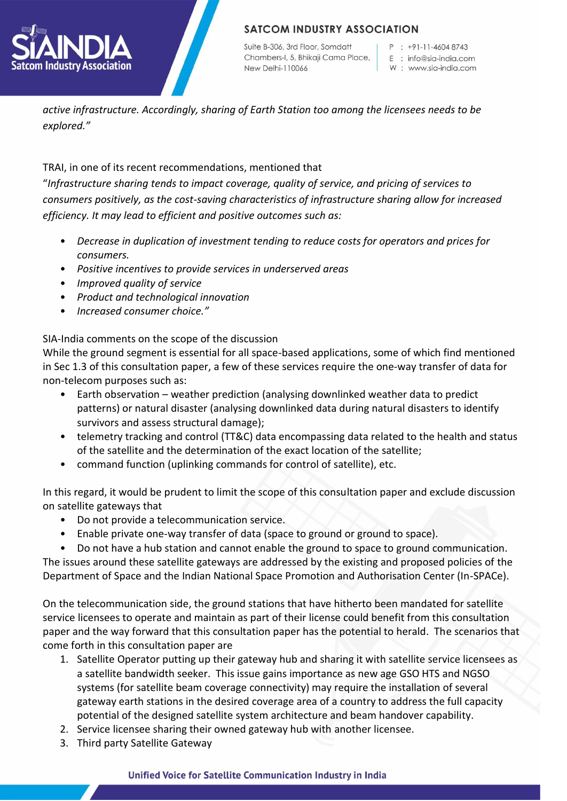

Suite B-306, 3rd Floor, Somdatt Chambers-I, 5, Bhikaji Cama Place, New Delhi-110066

 $P : +91-11-46048743$ 

- E : info@sia-india.com
- W: www.sia-india.com

*active infrastructure. Accordingly, sharing of Earth Station too among the licensees needs to be explored."*

TRAI, in one of its recent recommendations, mentioned that

"*Infrastructure sharing tends to impact coverage, quality of service, and pricing of services to consumers positively, as the cost-saving characteristics of infrastructure sharing allow for increased efficiency. It may lead to efficient and positive outcomes such as:*

- *Decrease in duplication of investment tending to reduce costs for operators and prices for consumers.*
- *Positive incentives to provide services in underserved areas*
- *Improved quality of service*
- *Product and technological innovation*
- *Increased consumer choice."*

SIA-India comments on the scope of the discussion

While the ground segment is essential for all space-based applications, some of which find mentioned in Sec 1.3 of this consultation paper, a few of these services require the one-way transfer of data for non-telecom purposes such as:

- Earth observation weather prediction (analysing downlinked weather data to predict patterns) or natural disaster (analysing downlinked data during natural disasters to identify survivors and assess structural damage);
- telemetry tracking and control (TT&C) data encompassing data related to the health and status of the satellite and the determination of the exact location of the satellite;
- command function (uplinking commands for control of satellite), etc.

In this regard, it would be prudent to limit the scope of this consultation paper and exclude discussion on satellite gateways that

- Do not provide a telecommunication service.
- Enable private one-way transfer of data (space to ground or ground to space).

• Do not have a hub station and cannot enable the ground to space to ground communication.

The issues around these satellite gateways are addressed by the existing and proposed policies of the Department of Space and the Indian National Space Promotion and Authorisation Center (In-SPACe).

On the telecommunication side, the ground stations that have hitherto been mandated for satellite service licensees to operate and maintain as part of their license could benefit from this consultation paper and the way forward that this consultation paper has the potential to herald. The scenarios that come forth in this consultation paper are

- 1. Satellite Operator putting up their gateway hub and sharing it with satellite service licensees as a satellite bandwidth seeker. This issue gains importance as new age GSO HTS and NGSO systems (for satellite beam coverage connectivity) may require the installation of several gateway earth stations in the desired coverage area of a country to address the full capacity potential of the designed satellite system architecture and beam handover capability.
- 2. Service licensee sharing their owned gateway hub with another licensee.
- 3. Third party Satellite Gateway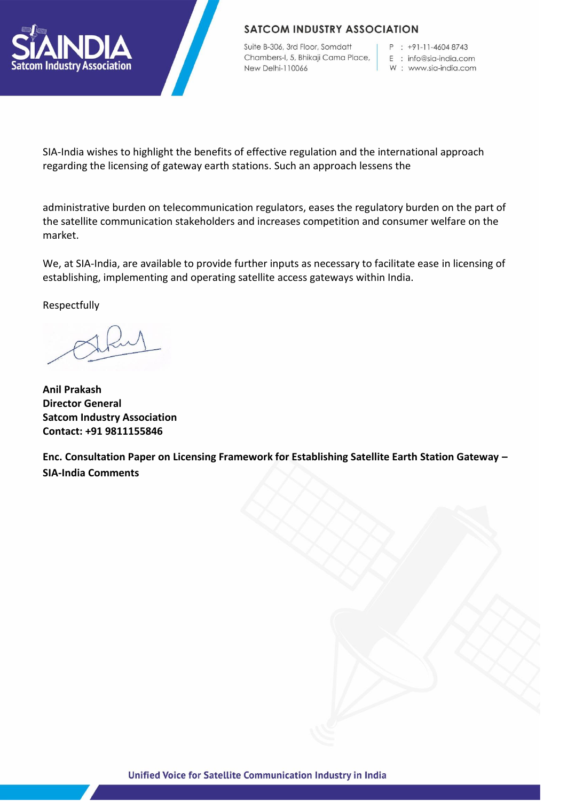

## **SATCOM INDUSTRY ASSOCIATION**

Suite B-306, 3rd Floor, Somdatt Chambers-I, 5, Bhikaji Cama Place, New Delhi-110066

P : +91-11-4604 8743

E : info@sia-india.com

W: www.sia-india.com

SIA-India wishes to highlight the benefits of effective regulation and the international approach regarding the licensing of gateway earth stations. Such an approach lessens the

administrative burden on telecommunication regulators, eases the regulatory burden on the part of the satellite communication stakeholders and increases competition and consumer welfare on the market.

We, at SIA-India, are available to provide further inputs as necessary to facilitate ease in licensing of establishing, implementing and operating satellite access gateways within India.

Respectfully

**Anil Prakash Director General Satcom Industry Association Contact: +91 9811155846**

**Enc. Consultation Paper on Licensing Framework for Establishing Satellite Earth Station Gateway – SIA-India Comments**

Unified Voice for Satellite Communication Industry in India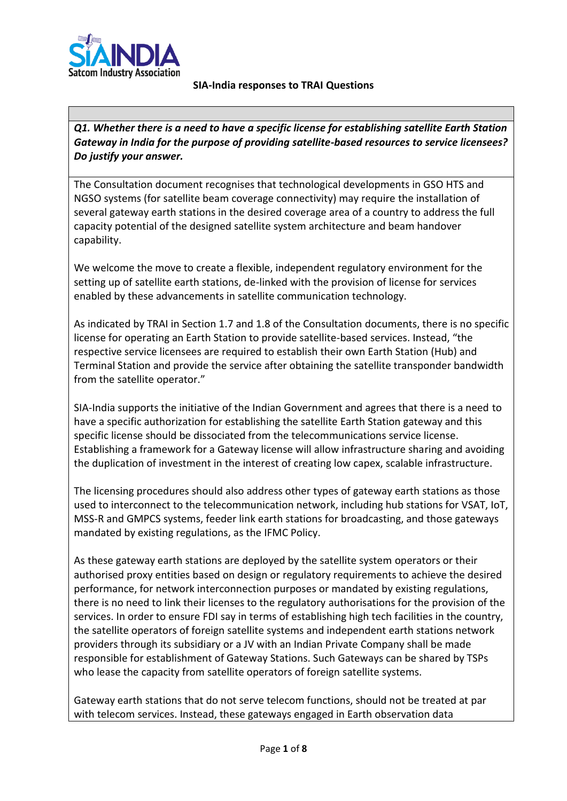

#### **SIA-India responses to TRAI Questions**

*Q1. Whether there is a need to have a specific license for establishing satellite Earth Station Gateway in India for the purpose of providing satellite-based resources to service licensees? Do justify your answer.*

The Consultation document recognises that technological developments in GSO HTS and NGSO systems (for satellite beam coverage connectivity) may require the installation of several gateway earth stations in the desired coverage area of a country to address the full capacity potential of the designed satellite system architecture and beam handover capability.

We welcome the move to create a flexible, independent regulatory environment for the setting up of satellite earth stations, de-linked with the provision of license for services enabled by these advancements in satellite communication technology.

As indicated by TRAI in Section 1.7 and 1.8 of the Consultation documents, there is no specific license for operating an Earth Station to provide satellite-based services. Instead, "the respective service licensees are required to establish their own Earth Station (Hub) and Terminal Station and provide the service after obtaining the satellite transponder bandwidth from the satellite operator."

SIA-India supports the initiative of the Indian Government and agrees that there is a need to have a specific authorization for establishing the satellite Earth Station gateway and this specific license should be dissociated from the telecommunications service license. Establishing a framework for a Gateway license will allow infrastructure sharing and avoiding the duplication of investment in the interest of creating low capex, scalable infrastructure.

The licensing procedures should also address other types of gateway earth stations as those used to interconnect to the telecommunication network, including hub stations for VSAT, IoT, MSS-R and GMPCS systems, feeder link earth stations for broadcasting, and those gateways mandated by existing regulations, as the IFMC Policy.

As these gateway earth stations are deployed by the satellite system operators or their authorised proxy entities based on design or regulatory requirements to achieve the desired performance, for network interconnection purposes or mandated by existing regulations, there is no need to link their licenses to the regulatory authorisations for the provision of the services. In order to ensure FDI say in terms of establishing high tech facilities in the country, the satellite operators of foreign satellite systems and independent earth stations network providers through its subsidiary or a JV with an Indian Private Company shall be made responsible for establishment of Gateway Stations. Such Gateways can be shared by TSPs who lease the capacity from satellite operators of foreign satellite systems.

Gateway earth stations that do not serve telecom functions, should not be treated at par with telecom services. Instead, these gateways engaged in Earth observation data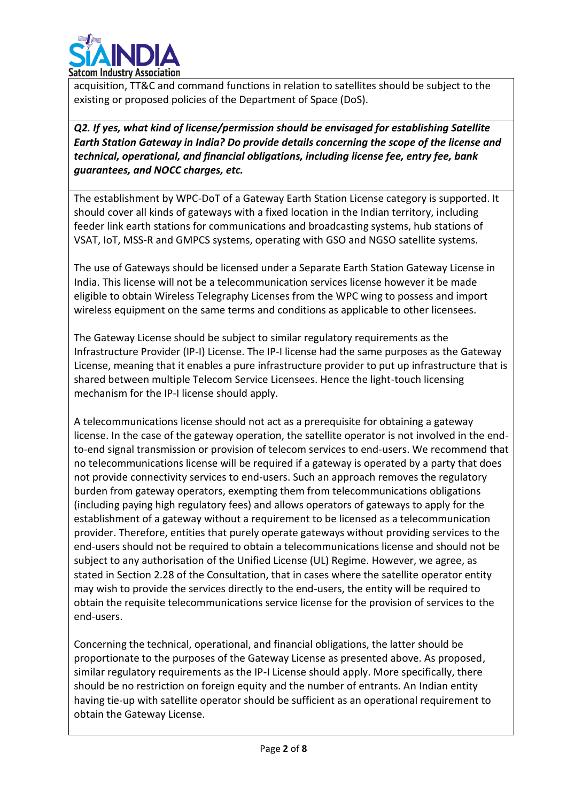

acquisition, TT&C and command functions in relation to satellites should be subject to the existing or proposed policies of the Department of Space (DoS).

*Q2. If yes, what kind of license/permission should be envisaged for establishing Satellite Earth Station Gateway in India? Do provide details concerning the scope of the license and technical, operational, and financial obligations, including license fee, entry fee, bank guarantees, and NOCC charges, etc.*

The establishment by WPC-DoT of a Gateway Earth Station License category is supported. It should cover all kinds of gateways with a fixed location in the Indian territory, including feeder link earth stations for communications and broadcasting systems, hub stations of VSAT, IoT, MSS-R and GMPCS systems, operating with GSO and NGSO satellite systems.

The use of Gateways should be licensed under a Separate Earth Station Gateway License in India. This license will not be a telecommunication services license however it be made eligible to obtain Wireless Telegraphy Licenses from the WPC wing to possess and import wireless equipment on the same terms and conditions as applicable to other licensees.

The Gateway License should be subject to similar regulatory requirements as the Infrastructure Provider (IP-I) License. The IP-I license had the same purposes as the Gateway License, meaning that it enables a pure infrastructure provider to put up infrastructure that is shared between multiple Telecom Service Licensees. Hence the light-touch licensing mechanism for the IP-I license should apply.

A telecommunications license should not act as a prerequisite for obtaining a gateway license. In the case of the gateway operation, the satellite operator is not involved in the endto-end signal transmission or provision of telecom services to end-users. We recommend that no telecommunications license will be required if a gateway is operated by a party that does not provide connectivity services to end-users. Such an approach removes the regulatory burden from gateway operators, exempting them from telecommunications obligations (including paying high regulatory fees) and allows operators of gateways to apply for the establishment of a gateway without a requirement to be licensed as a telecommunication provider. Therefore, entities that purely operate gateways without providing services to the end-users should not be required to obtain a telecommunications license and should not be subject to any authorisation of the Unified License (UL) Regime. However, we agree, as stated in Section 2.28 of the Consultation, that in cases where the satellite operator entity may wish to provide the services directly to the end-users, the entity will be required to obtain the requisite telecommunications service license for the provision of services to the end-users.

Concerning the technical, operational, and financial obligations, the latter should be proportionate to the purposes of the Gateway License as presented above. As proposed, similar regulatory requirements as the IP-I License should apply. More specifically, there should be no restriction on foreign equity and the number of entrants. An Indian entity having tie-up with satellite operator should be sufficient as an operational requirement to obtain the Gateway License.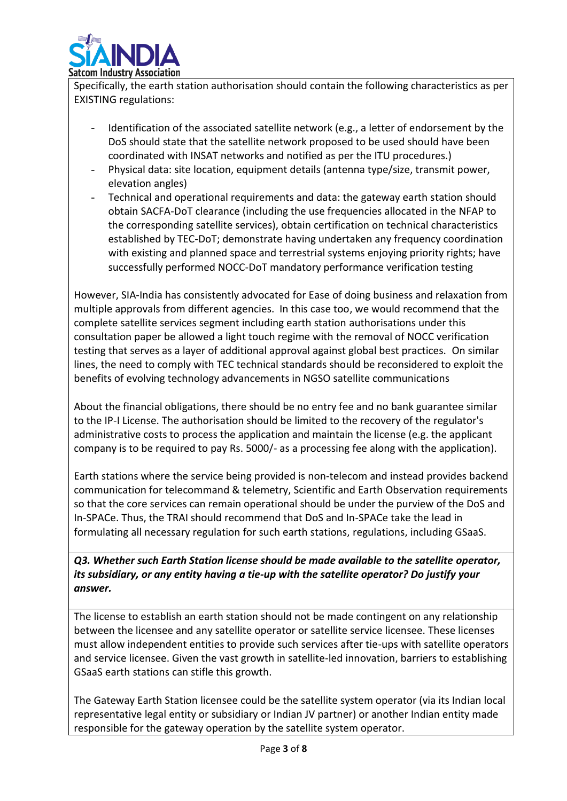

Specifically, the earth station authorisation should contain the following characteristics as per EXISTING regulations:

- Identification of the associated satellite network (e.g., a letter of endorsement by the DoS should state that the satellite network proposed to be used should have been coordinated with INSAT networks and notified as per the ITU procedures.)
- Physical data: site location, equipment details (antenna type/size, transmit power, elevation angles)
- Technical and operational requirements and data: the gateway earth station should obtain SACFA-DoT clearance (including the use frequencies allocated in the NFAP to the corresponding satellite services), obtain certification on technical characteristics established by TEC-DoT; demonstrate having undertaken any frequency coordination with existing and planned space and terrestrial systems enjoying priority rights; have successfully performed NOCC-DoT mandatory performance verification testing

However, SIA-India has consistently advocated for Ease of doing business and relaxation from multiple approvals from different agencies. In this case too, we would recommend that the complete satellite services segment including earth station authorisations under this consultation paper be allowed a light touch regime with the removal of NOCC verification testing that serves as a layer of additional approval against global best practices. On similar lines, the need to comply with TEC technical standards should be reconsidered to exploit the benefits of evolving technology advancements in NGSO satellite communications

About the financial obligations, there should be no entry fee and no bank guarantee similar to the IP-I License. The authorisation should be limited to the recovery of the regulator's administrative costs to process the application and maintain the license (e.g. the applicant company is to be required to pay Rs. 5000/- as a processing fee along with the application).

Earth stations where the service being provided is non-telecom and instead provides backend communication for telecommand & telemetry, Scientific and Earth Observation requirements so that the core services can remain operational should be under the purview of the DoS and In-SPACe. Thus, the TRAI should recommend that DoS and In-SPACe take the lead in formulating all necessary regulation for such earth stations, regulations, including GSaaS.

*Q3. Whether such Earth Station license should be made available to the satellite operator, its subsidiary, or any entity having a tie-up with the satellite operator? Do justify your answer.*

The license to establish an earth station should not be made contingent on any relationship between the licensee and any satellite operator or satellite service licensee. These licenses must allow independent entities to provide such services after tie-ups with satellite operators and service licensee. Given the vast growth in satellite-led innovation, barriers to establishing GSaaS earth stations can stifle this growth.

The Gateway Earth Station licensee could be the satellite system operator (via its Indian local representative legal entity or subsidiary or Indian JV partner) or another Indian entity made responsible for the gateway operation by the satellite system operator.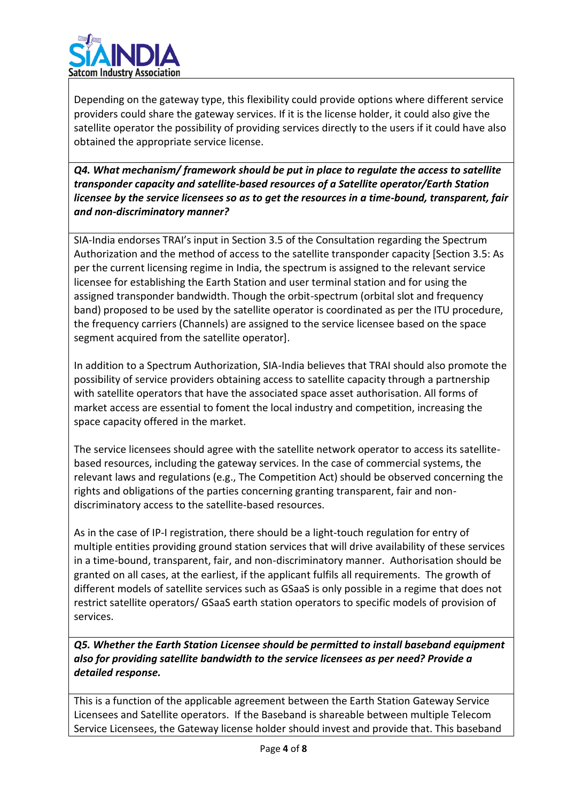

Depending on the gateway type, this flexibility could provide options where different service providers could share the gateway services. If it is the license holder, it could also give the satellite operator the possibility of providing services directly to the users if it could have also obtained the appropriate service license.

*Q4. What mechanism/ framework should be put in place to regulate the access to satellite transponder capacity and satellite-based resources of a Satellite operator/Earth Station licensee by the service licensees so as to get the resources in a time-bound, transparent, fair and non-discriminatory manner?*

SIA-India endorses TRAI's input in Section 3.5 of the Consultation regarding the Spectrum Authorization and the method of access to the satellite transponder capacity [Section 3.5: As per the current licensing regime in India, the spectrum is assigned to the relevant service licensee for establishing the Earth Station and user terminal station and for using the assigned transponder bandwidth. Though the orbit-spectrum (orbital slot and frequency band) proposed to be used by the satellite operator is coordinated as per the ITU procedure, the frequency carriers (Channels) are assigned to the service licensee based on the space segment acquired from the satellite operator].

In addition to a Spectrum Authorization, SIA-India believes that TRAI should also promote the possibility of service providers obtaining access to satellite capacity through a partnership with satellite operators that have the associated space asset authorisation. All forms of market access are essential to foment the local industry and competition, increasing the space capacity offered in the market.

The service licensees should agree with the satellite network operator to access its satellitebased resources, including the gateway services. In the case of commercial systems, the relevant laws and regulations (e.g., The Competition Act) should be observed concerning the rights and obligations of the parties concerning granting transparent, fair and nondiscriminatory access to the satellite-based resources.

As in the case of IP-I registration, there should be a light-touch regulation for entry of multiple entities providing ground station services that will drive availability of these services in a time-bound, transparent, fair, and non-discriminatory manner. Authorisation should be granted on all cases, at the earliest, if the applicant fulfils all requirements. The growth of different models of satellite services such as GSaaS is only possible in a regime that does not restrict satellite operators/ GSaaS earth station operators to specific models of provision of services.

*Q5. Whether the Earth Station Licensee should be permitted to install baseband equipment also for providing satellite bandwidth to the service licensees as per need? Provide a detailed response.*

This is a function of the applicable agreement between the Earth Station Gateway Service Licensees and Satellite operators. If the Baseband is shareable between multiple Telecom Service Licensees, the Gateway license holder should invest and provide that. This baseband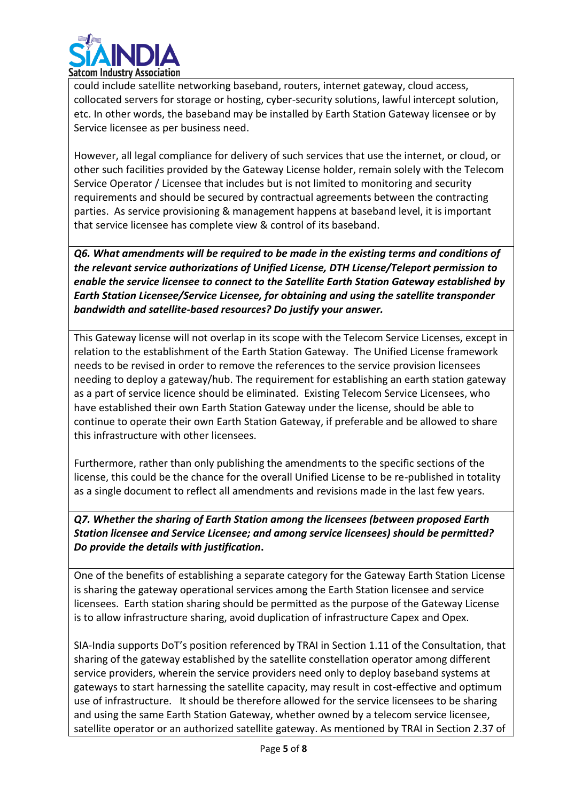

could include satellite networking baseband, routers, internet gateway, cloud access, collocated servers for storage or hosting, cyber-security solutions, lawful intercept solution, etc. In other words, the baseband may be installed by Earth Station Gateway licensee or by Service licensee as per business need.

However, all legal compliance for delivery of such services that use the internet, or cloud, or other such facilities provided by the Gateway License holder, remain solely with the Telecom Service Operator / Licensee that includes but is not limited to monitoring and security requirements and should be secured by contractual agreements between the contracting parties. As service provisioning & management happens at baseband level, it is important that service licensee has complete view & control of its baseband.

*Q6. What amendments will be required to be made in the existing terms and conditions of the relevant service authorizations of Unified License, DTH License/Teleport permission to enable the service licensee to connect to the Satellite Earth Station Gateway established by Earth Station Licensee/Service Licensee, for obtaining and using the satellite transponder bandwidth and satellite-based resources? Do justify your answer.*

This Gateway license will not overlap in its scope with the Telecom Service Licenses, except in relation to the establishment of the Earth Station Gateway. The Unified License framework needs to be revised in order to remove the references to the service provision licensees needing to deploy a gateway/hub. The requirement for establishing an earth station gateway as a part of service licence should be eliminated. Existing Telecom Service Licensees, who have established their own Earth Station Gateway under the license, should be able to continue to operate their own Earth Station Gateway, if preferable and be allowed to share this infrastructure with other licensees.

Furthermore, rather than only publishing the amendments to the specific sections of the license, this could be the chance for the overall Unified License to be re-published in totality as a single document to reflect all amendments and revisions made in the last few years.

*Q7. Whether the sharing of Earth Station among the licensees (between proposed Earth Station licensee and Service Licensee; and among service licensees) should be permitted? Do provide the details with justification***.**

One of the benefits of establishing a separate category for the Gateway Earth Station License is sharing the gateway operational services among the Earth Station licensee and service licensees. Earth station sharing should be permitted as the purpose of the Gateway License is to allow infrastructure sharing, avoid duplication of infrastructure Capex and Opex.

SIA-India supports DoT's position referenced by TRAI in Section 1.11 of the Consultation, that sharing of the gateway established by the satellite constellation operator among different service providers, wherein the service providers need only to deploy baseband systems at gateways to start harnessing the satellite capacity, may result in cost-effective and optimum use of infrastructure. It should be therefore allowed for the service licensees to be sharing and using the same Earth Station Gateway, whether owned by a telecom service licensee, satellite operator or an authorized satellite gateway. As mentioned by TRAI in Section 2.37 of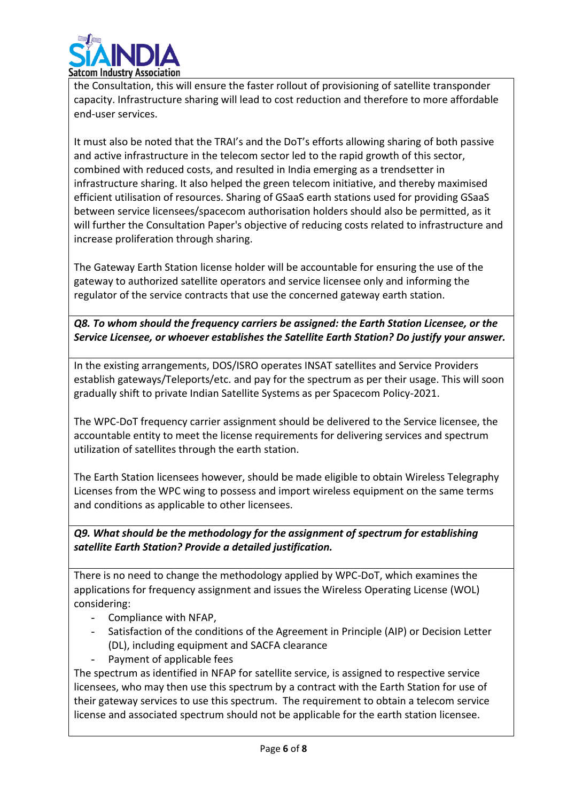

the Consultation, this will ensure the faster rollout of provisioning of satellite transponder capacity. Infrastructure sharing will lead to cost reduction and therefore to more affordable end-user services.

It must also be noted that the TRAI's and the DoT's efforts allowing sharing of both passive and active infrastructure in the telecom sector led to the rapid growth of this sector, combined with reduced costs, and resulted in India emerging as a trendsetter in infrastructure sharing. It also helped the green telecom initiative, and thereby maximised efficient utilisation of resources. Sharing of GSaaS earth stations used for providing GSaaS between service licensees/spacecom authorisation holders should also be permitted, as it will further the Consultation Paper's objective of reducing costs related to infrastructure and increase proliferation through sharing.

The Gateway Earth Station license holder will be accountable for ensuring the use of the gateway to authorized satellite operators and service licensee only and informing the regulator of the service contracts that use the concerned gateway earth station.

## *Q8. To whom should the frequency carriers be assigned: the Earth Station Licensee, or the Service Licensee, or whoever establishes the Satellite Earth Station? Do justify your answer.*

In the existing arrangements, DOS/ISRO operates INSAT satellites and Service Providers establish gateways/Teleports/etc. and pay for the spectrum as per their usage. This will soon gradually shift to private Indian Satellite Systems as per Spacecom Policy-2021.

The WPC-DoT frequency carrier assignment should be delivered to the Service licensee, the accountable entity to meet the license requirements for delivering services and spectrum utilization of satellites through the earth station.

The Earth Station licensees however, should be made eligible to obtain Wireless Telegraphy Licenses from the WPC wing to possess and import wireless equipment on the same terms and conditions as applicable to other licensees.

### *Q9. What should be the methodology for the assignment of spectrum for establishing satellite Earth Station? Provide a detailed justification.*

There is no need to change the methodology applied by WPC-DoT, which examines the applications for frequency assignment and issues the Wireless Operating License (WOL) considering:

- Compliance with NFAP,
- Satisfaction of the conditions of the Agreement in Principle (AIP) or Decision Letter (DL), including equipment and SACFA clearance
- Payment of applicable fees

The spectrum as identified in NFAP for satellite service, is assigned to respective service licensees, who may then use this spectrum by a contract with the Earth Station for use of their gateway services to use this spectrum. The requirement to obtain a telecom service license and associated spectrum should not be applicable for the earth station licensee.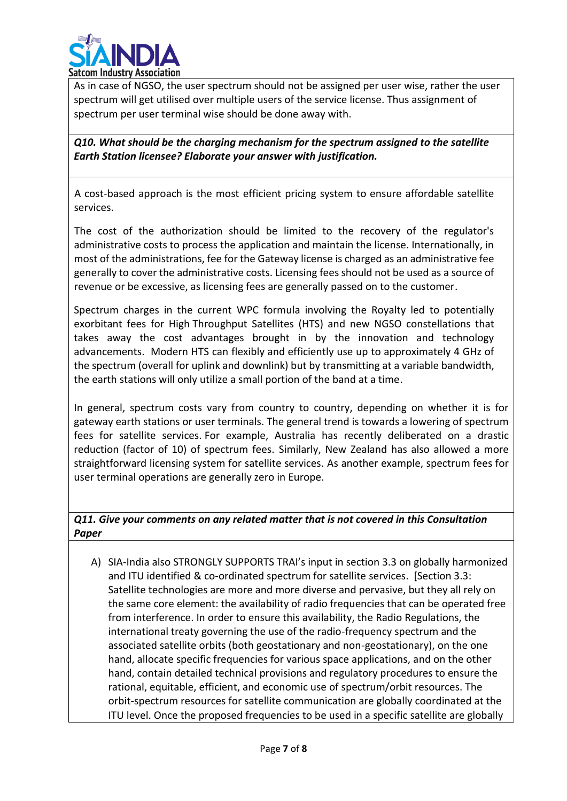

As in case of NGSO, the user spectrum should not be assigned per user wise, rather the user spectrum will get utilised over multiple users of the service license. Thus assignment of spectrum per user terminal wise should be done away with.

*Q10. What should be the charging mechanism for the spectrum assigned to the satellite Earth Station licensee? Elaborate your answer with justification.*

A cost-based approach is the most efficient pricing system to ensure affordable satellite services.

The cost of the authorization should be limited to the recovery of the regulator's administrative costs to process the application and maintain the license. Internationally, in most of the administrations, fee for the Gateway license is charged as an administrative fee generally to cover the administrative costs. Licensing fees should not be used as a source of revenue or be excessive, as licensing fees are generally passed on to the customer.

Spectrum charges in the current WPC formula involving the Royalty led to potentially exorbitant fees for High Throughput Satellites (HTS) and new NGSO constellations that takes away the cost advantages brought in by the innovation and technology advancements. Modern HTS can flexibly and efficiently use up to approximately 4 GHz of the spectrum (overall for uplink and downlink) but by transmitting at a variable bandwidth, the earth stations will only utilize a small portion of the band at a time.

In general, spectrum costs vary from country to country, depending on whether it is for gateway earth stations or user terminals. The general trend is towards a lowering of spectrum fees for satellite services. For example, Australia has recently deliberated on a drastic reduction (factor of 10) of spectrum fees. Similarly, New Zealand has also allowed a more straightforward licensing system for satellite services. As another example, spectrum fees for user terminal operations are generally zero in Europe.

*Q11. Give your comments on any related matter that is not covered in this Consultation Paper*

A) SIA-India also STRONGLY SUPPORTS TRAI's input in section 3.3 on globally harmonized and ITU identified & co-ordinated spectrum for satellite services. [Section 3.3: Satellite technologies are more and more diverse and pervasive, but they all rely on the same core element: the availability of radio frequencies that can be operated free from interference. In order to ensure this availability, the Radio Regulations, the international treaty governing the use of the radio-frequency spectrum and the associated satellite orbits (both geostationary and non-geostationary), on the one hand, allocate specific frequencies for various space applications, and on the other hand, contain detailed technical provisions and regulatory procedures to ensure the rational, equitable, efficient, and economic use of spectrum/orbit resources. The orbit-spectrum resources for satellite communication are globally coordinated at the ITU level. Once the proposed frequencies to be used in a specific satellite are globally